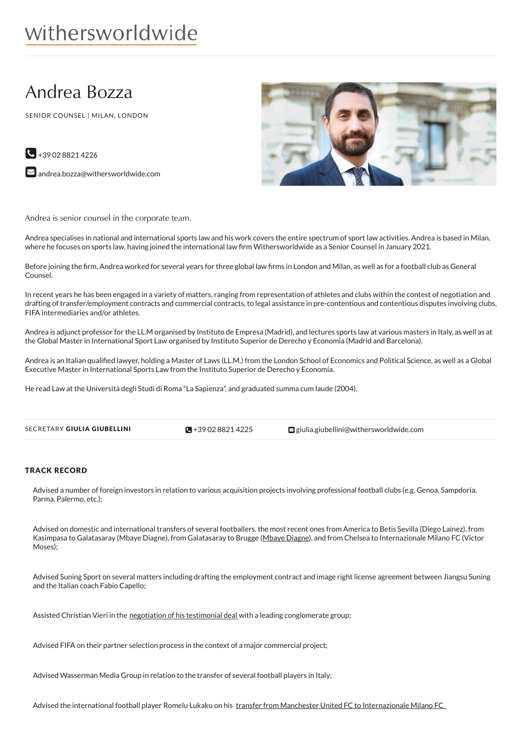# Andrea Bozza

SENIOR COUNSEL | MILAN, LONDON

 $\bigcup$  +39 02 8821 4226





Andrea is senior counsel in the corporate team.

Andrea specialises in national and international sports law and his work covers the entire spectrum of sport law activities. Andrea is based in Milan, where he focuses on sports law, having joined the international law firm Withersworldwide as a Senior Counsel in January 2021.

Before joining the firm, Andrea worked for several years for three global law firms in London and Milan, as well as for a football club as General Counsel.

In recent years he has been engaged in a variety of matters, ranging from representation of athletes and clubs within the contest of negotiation and drafting of transfer/employment contracts and commercial contracts, to legal assistance in pre-contentious and contentious disputes involving clubs, FIFA intermediaries and/or athletes.

Andrea is adjunct professor for the LL.M organised by Instituto de Empresa (Madrid), and lectures sports law at various masters in Italy, as well as at the Global Master in International Sport Law organised by Instituto Superior de Derecho y Economia (Madrid and Barcelona).

Andrea is an Italian qualified lawyer, holding a Master of Laws (LL.M.) from the London School of Economics and Political Science, as well as a Global Executive Master in International Sports Law from the Instituto Superior de Derecho y Economía.

He read Law at the Università degli Studi di Roma "La Sapienza", and graduated summa cum laude (2004).

| SECRETARY GIULIA GIUBELLINI | $\sqrt{9} + 390288214225$ | giulia.giubellini@withersworldwide.com |
|-----------------------------|---------------------------|----------------------------------------|
|                             |                           |                                        |

## TRACK RECORD

Advised a number of foreign investors in relation to various acquisition projects involving professional football clubs (e.g. Genoa, Sampdoria, Parma, Palermo, etc.);

Advised on domestic and international transfers of several footballers, the most recent ones from America to Betis Sevilla (Diego Lainez), from Kasimpasa to Galatasaray (Mbaye Diagne), from Galatasaray to Brugge [\(Mbaye](https://legalcommunity.it/osborne-clarke-nei-trasferimenti-lukaku-diagne/) Diagne), and from Chelsea to Internazionale Milano FC (Victor Moses);

Advised Suning Sport on several matters including drafting the employment contract and image right license agreement between Jiangsu Suning and the Italian coach Fabio Capello;

Assisted Christian Vieri in the [negotiation](https://www.calcioefinanza.it/2019/06/04/osborne-clarke-christian-vieri/) of his testimonial deal with a leading conglomerate group;

Advised FIFA on their partner selection process in the context of a major commercial project;

Advised Wasserman Media Group in relation to the transfer of several football players in Italy;

Advised the international football player Romelu Lukaku on his transfer from Manchester United FC to [Internazionale](https://www.calcioefinanza.it/2019/09/13/lukaku-osborne-clarke/) Milano FC